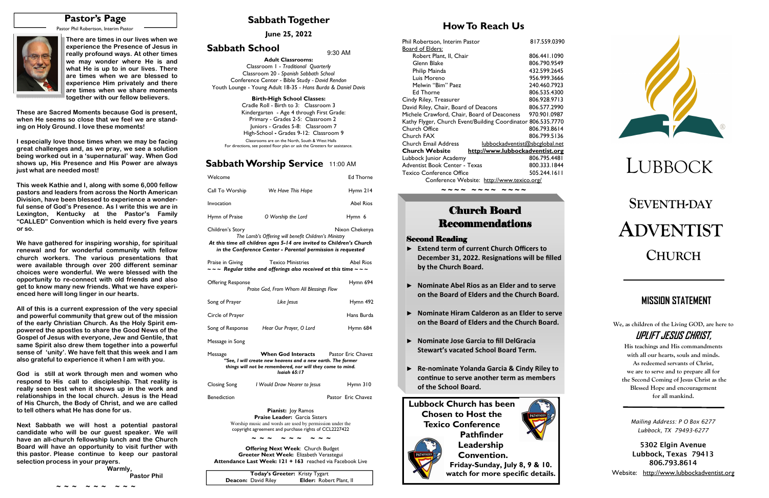# **SEVENTH-DAYADVENTISTCHURCH**

### **Sabbath Together**

### **How To Reach Us**

### **Sabbath Worship Service** 11:00 AM

**June 25, 2022** 

### **Sabbath School**  $9:30$  AM

# LUBBOCK

| Welcome                                                                                                                                                                                                                           |                                                                                                                       | <b>Ed Thorne</b> |  |
|-----------------------------------------------------------------------------------------------------------------------------------------------------------------------------------------------------------------------------------|-----------------------------------------------------------------------------------------------------------------------|------------------|--|
| Call To Worship                                                                                                                                                                                                                   | We Have This Hope                                                                                                     | Hymn $214$       |  |
| Invocation                                                                                                                                                                                                                        |                                                                                                                       | <b>Abel Rios</b> |  |
| Hymn of Praise                                                                                                                                                                                                                    | O Worship the Lord                                                                                                    | Hymn 6           |  |
| Nixon Chekenya<br>Children's Story<br>The Lamb's Offering will benefit Children's Ministry<br>At this time all children ages 5-14 are invited to Children's Church<br>in the Conference Center - Parental permission is requested |                                                                                                                       |                  |  |
| Praise in Giving                                                                                                                                                                                                                  | <b>Texico Ministries</b><br>$\sim$ $\sim$ Regular tithe and offerings also received at this time $\sim$ $\sim$ $\sim$ | <b>Abel Rios</b> |  |
| <b>Offering Response</b>                                                                                                                                                                                                          | Praise God, From Whom All Blessings Flow                                                                              | Hymn 694         |  |
| Song of Prayer                                                                                                                                                                                                                    | Like Jesus                                                                                                            | Hymn 492         |  |
| Circle of Prayer                                                                                                                                                                                                                  |                                                                                                                       | Hans Burda       |  |
| Song of Response                                                                                                                                                                                                                  | Hear Our Prayer, O Lord                                                                                               | Hymn 684         |  |
| Message in Song                                                                                                                                                                                                                   |                                                                                                                       |                  |  |
| When God Interacts<br><b>Pastor Eric Chavez</b><br>Message<br>"See, I will create new heavens and a new earth. The former<br>things will not be remembered, nor will they come to mind.<br>Isaiah 65:17                           |                                                                                                                       |                  |  |
| Closing Song                                                                                                                                                                                                                      | I Would Draw Nearer to Jesus                                                                                          | Hymn 310         |  |

Benediction **Pastor Executes** Pastor Eric Chavez

**Pianist:** Joy Ramos **Praise Leader:** Garcia Sisters Worship music and words are used by permission under the copyright agreement and purchase rights of CCL2227422

 **Offering Next Week**: Church Budget **Greeter Next Week:** Elizabeth Verastegui **Attendance Last Week: 121 + 163** reached via Facebook Live **We, as children of the Living GOD, are here to UPLIFT JESUS CHRIST,** 

**His teachings and His commandments with all our hearts, souls and minds. As redeemed servants of Christ, we are to serve and to prepare all for the Second Coming of Jesus Christ as the Blessed Hope and encouragement for all mankind.** 

## **MISSION STATEMENT**

**Adult Classrooms:** Classroom 1 - *Traditional Quarterly*  Classroom 20 *- Spanish Sabbath School*  Conference Center - Bible Study *- David Rendon* Youth Lounge - Young Adult 18-35 - *Hans Burda & Daniel Davis*

#### **Birth-High School Classes:**

 Cradle Roll - Birth to 3: Classroom 3 Kindergarten - Age 4 through First Grade: Primary - Grades 2-5: Classroom 2 Juniors - Grades 5-8: Classroom 7 High-School **-** Grades 9-12: Classroom 9Classrooms are on the North, South & West Halls

For directions, see posted floor plan or ask the Greeters for assistance.

| Today's Greeter: Kristy Tygart |                                |  |
|--------------------------------|--------------------------------|--|
| <b>Deacon:</b> David Riley     | <b>Elder:</b> Robert Plant, II |  |

### **Pastor's Page**

Pastor Phil Robertson, Interim Pastor



**~ ~ ~ ~ ~ ~ ~ ~ ~** 

| Phil Robertson, Interim Pastor                               | 817.559.0390 |
|--------------------------------------------------------------|--------------|
| Board of Elders:                                             |              |
| Robert Plant, II, Chair                                      | 806.441.1090 |
| Glenn Blake                                                  | 806.790.9549 |
| Philip Mainda                                                | 432.599.2645 |
| Luis Moreno                                                  | 956.999.3666 |
| Melwin "Bim" Paez                                            | 240.460.7923 |
| Ed Thorne                                                    | 806.535.4300 |
| Cindy Riley, Treasurer                                       | 806.928.9713 |
| David Riley, Chair, Board of Deacons                         | 806.577.2990 |
| Michele Crawford, Chair, Board of Deaconess                  | 970.901.0987 |
| Kathy Flyger, Church Event/Building Coordinator 806.535.7770 |              |
| Church Office                                                | 806.793.8614 |
| Church FAX                                                   | 806.799.5136 |
| Church Email Address<br>lubbockadventist@sbcglobal.net       |              |
| <b>Church Website</b><br>http://www.lubbockadventist.org     |              |
| Lubbock Junior Academy                                       | 806.795.4481 |
| Adventist Book Center - Texas                                | 800.333.1844 |
| <b>Texico Conference Office</b>                              | 505.244.1611 |
| Conference Website: http://www.texico.org/                   |              |

# **Church Board Recommendations**

**Next Sabbath we will host a potential pastoral candidate who will be our guest speaker. We will have an all-church fellowship lunch and the Church Board will have an opportunity to visit further with this pastor. Please continue to keep our pastoral selection process in your prayers.** *Warmly,* 

**Pastor Phil Pastor Phil** 

*~ ~ ~ ~ ~ ~ ~ ~ ~ ~ ~ ~*

#### **Second Reading**

- ► **Extend term of current Church Officers to December 31, 2022. Resignations will be filled by the Church Board.**
- ► **Nominate Abel Rios as an Elder and to serve on the Board of Elders and the Church Board.**
- ► **Nominate Hiram Calderon as an Elder to serve on the Board of Elders and the Church Board.**
- ► **Nominate Jose Garcia to fill DelGracia Stewart's vacated School Board Term.**
- ► **Re-nominate Yolanda Garcia & Cindy Riley to**  continue to serve another term as members **of the School Board.**

**There are times in our lives when we experience the Presence of Jesus in really profound ways. At other times we may wonder where He is and what He is up to in our lives. There are times when we are blessed to experience Him privately and there are times when we share moments together with our fellow believers.** 

**These are Sacred Moments because God is present, when He seems so close that we feel we are standing on Holy Ground. I love these moments!** 

**I especially love those times when we may be facing great challenges and, as we pray, we see a solution being worked out in a 'supernatural' way. When God shows up, His Presence and His Power are always just what are needed most!** 

**This week Kathie and I, along with some 6,000 fellow pastors and leaders from across the North American Division, have been blessed to experience a wonderful sense of God's Presence. As I write this we are in Lexington, Kentucky at the Pastor's Family "CALLED" Convention which is held every five years or so.** 

**We have gathered for inspiring worship, for spiritual renewal and for wonderful community with fellow church workers. The various presentations that were available through over 200 different seminar choices were wonderful. We were blessed with the opportunity to re-connect with old friends and also get to know many new friends. What we have experienced here will long linger in our hearts.** 

**All of this is a current expression of the very special and powerful community that grew out of the mission of the early Christian Church. As the Holy Spirit empowered the apostles to share the Good News of the Gospel of Jesus with everyone, Jew and Gentile, that same Spirit also drew them together into a powerful sense of 'unity'. We have felt that this week and I am also grateful to experience it when I am with you.** 

**God is still at work through men and women who respond to His call to discipleship. That reality is really seen best when it shows up in the work and relationships in the local church. Jesus is the Head of His Church, the Body of Christ, and we are called to tell others what He has done for us.** 

> *Mailing Address: P O Box 6277 Lubbock, TX 79493-6277*

**5302 Elgin Avenue Lubbock, Texas 79413 806.793.8614** 

Website: http://www.lubbockadventist.org

**~ ~ ~ ~ ~ ~ ~ ~ ~**